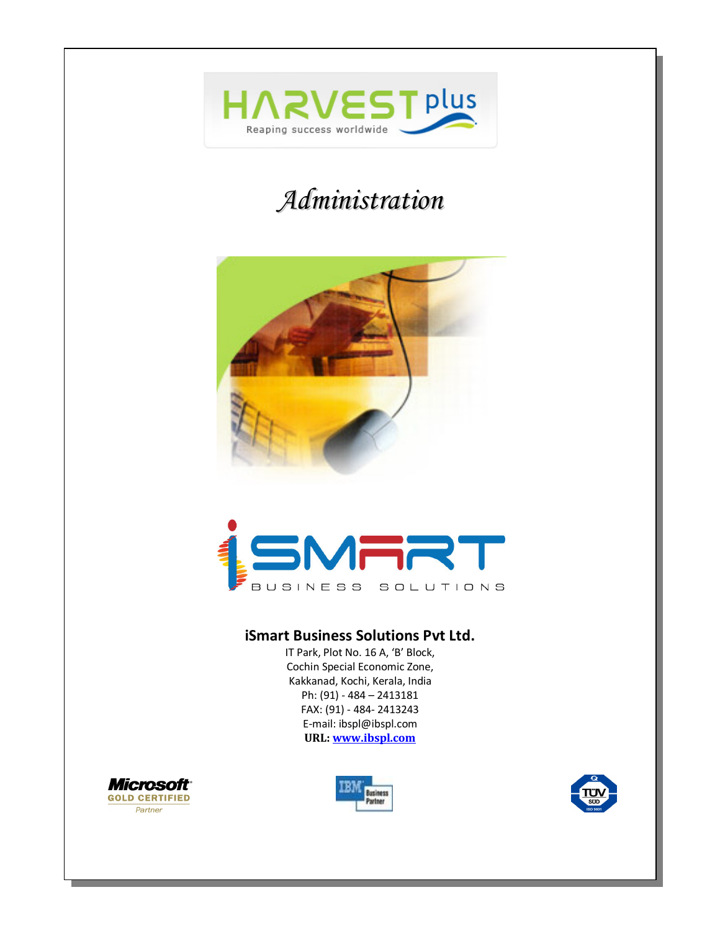

# *Administration*





### **iSmart Business Solutions Pvt Ltd.**

IT Park, Plot No. 16 A, 'B' Block, Cochin Special Economic Zone, Kakkanad, Kochi, Kerala, India Ph: (91) - 484 – 2413181 FAX: (91) - 484- 2413243 E-mail: ibspl@ibspl.com **URL: www.ibspl.com**





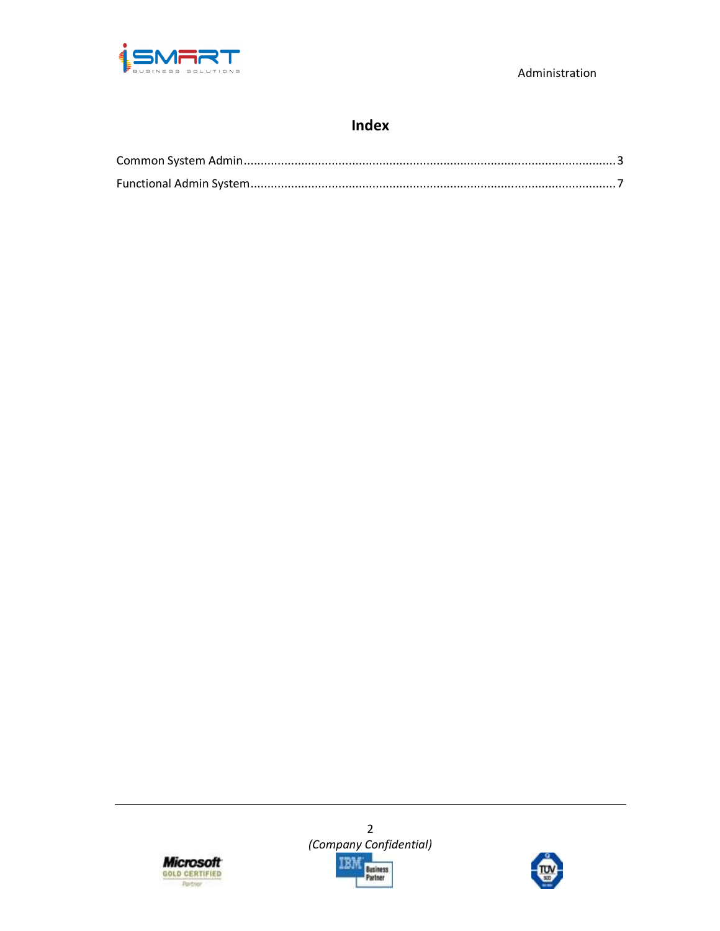

# **Index**





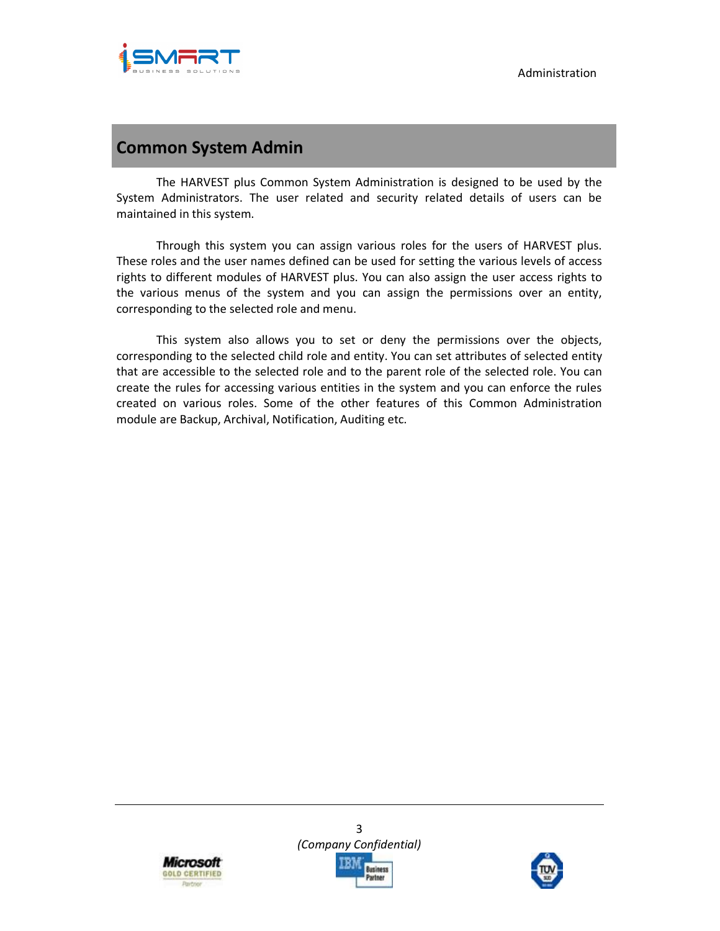

# **Common System Admin**

The HARVEST plus Common System Administration is designed to be used by the System Administrators. The user related and security related details of users can be maintained in this system.

Through this system you can assign various roles for the users of HARVEST plus. These roles and the user names defined can be used for setting the various levels of access rights to different modules of HARVEST plus. You can also assign the user access rights to the various menus of the system and you can assign the permissions over an entity, corresponding to the selected role and menu.

This system also allows you to set or deny the permissions over the objects, corresponding to the selected child role and entity. You can set attributes of selected entity that are accessible to the selected role and to the parent role of the selected role. You can create the rules for accessing various entities in the system and you can enforce the rules created on various roles. Some of the other features of this Common Administration module are Backup, Archival, Notification, Auditing etc.





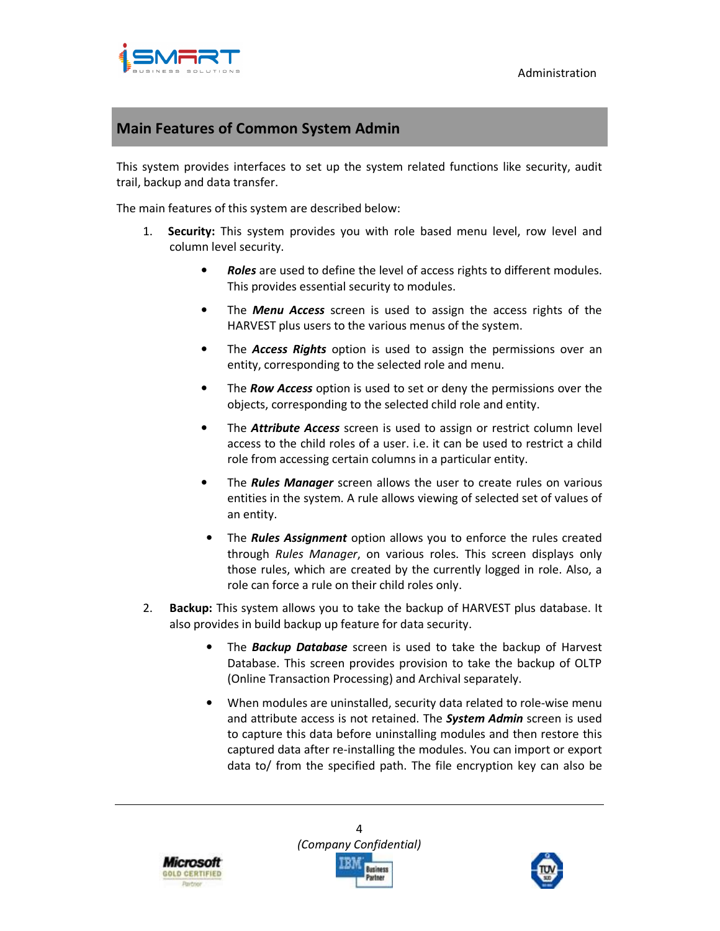

# **Main Features of Common System Admin**

This system provides interfaces to set up the system related functions like security, audit trail, backup and data transfer.

The main features of this system are described below:

- 1. **Security:** This system provides you with role based menu level, row level and column level security.
	- *Roles* are used to define the level of access rights to different modules. This provides essential security to modules.
	- The *Menu Access* screen is used to assign the access rights of the HARVEST plus users to the various menus of the system.
	- The *Access Rights* option is used to assign the permissions over an entity, corresponding to the selected role and menu.
	- The *Row Access* option is used to set or deny the permissions over the objects, corresponding to the selected child role and entity.
	- The *Attribute Access* screen is used to assign or restrict column level access to the child roles of a user. i.e. it can be used to restrict a child role from accessing certain columns in a particular entity.
	- The *Rules Manager* screen allows the user to create rules on various entities in the system. A rule allows viewing of selected set of values of an entity.
	- The *Rules Assignment* option allows you to enforce the rules created through *Rules Manager*, on various roles. This screen displays only those rules, which are created by the currently logged in role. Also, a role can force a rule on their child roles only.
- 2. **Backup:** This system allows you to take the backup of HARVEST plus database. It also provides in build backup up feature for data security.
	- The *Backup Database* screen is used to take the backup of Harvest Database. This screen provides provision to take the backup of OLTP (Online Transaction Processing) and Archival separately.
	- When modules are uninstalled, security data related to role-wise menu and attribute access is not retained. The *System Admin* screen is used to capture this data before uninstalling modules and then restore this captured data after re-installing the modules. You can import or export data to/ from the specified path. The file encryption key can also be





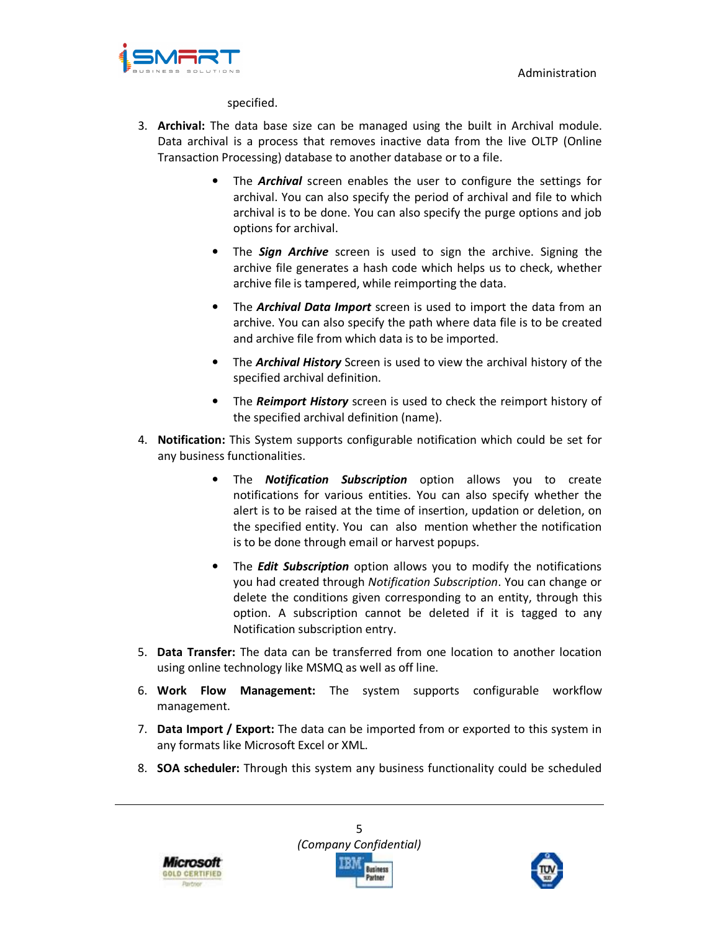

specified.

- 3. **Archival:** The data base size can be managed using the built in Archival module. Data archival is a process that removes inactive data from the live OLTP (Online Transaction Processing) database to another database or to a file.
	- The *Archival* screen enables the user to configure the settings for archival. You can also specify the period of archival and file to which archival is to be done. You can also specify the purge options and job options for archival.
	- The *Sign Archive* screen is used to sign the archive. Signing the archive file generates a hash code which helps us to check, whether archive file is tampered, while reimporting the data.
	- The *Archival Data Import* screen is used to import the data from an archive. You can also specify the path where data file is to be created and archive file from which data is to be imported.
	- The *Archival History* Screen is used to view the archival history of the specified archival definition.
	- The *Reimport History* screen is used to check the reimport history of the specified archival definition (name).
- 4. **Notification:** This System supports configurable notification which could be set for any business functionalities.
	- The *Notification Subscription* option allows you to create notifications for various entities. You can also specify whether the alert is to be raised at the time of insertion, updation or deletion, on the specified entity. You can also mention whether the notification is to be done through email or harvest popups.
	- The *Edit Subscription* option allows you to modify the notifications you had created through *Notification Subscription*. You can change or delete the conditions given corresponding to an entity, through this option. A subscription cannot be deleted if it is tagged to any Notification subscription entry.
- 5. **Data Transfer:** The data can be transferred from one location to another location using online technology like MSMQ as well as off line.
- 6. **Work Flow Management:** The system supports configurable workflow management.
- 7. **Data Import / Export:** The data can be imported from or exported to this system in any formats like Microsoft Excel or XML.
- 8. **SOA scheduler:** Through this system any business functionality could be scheduled





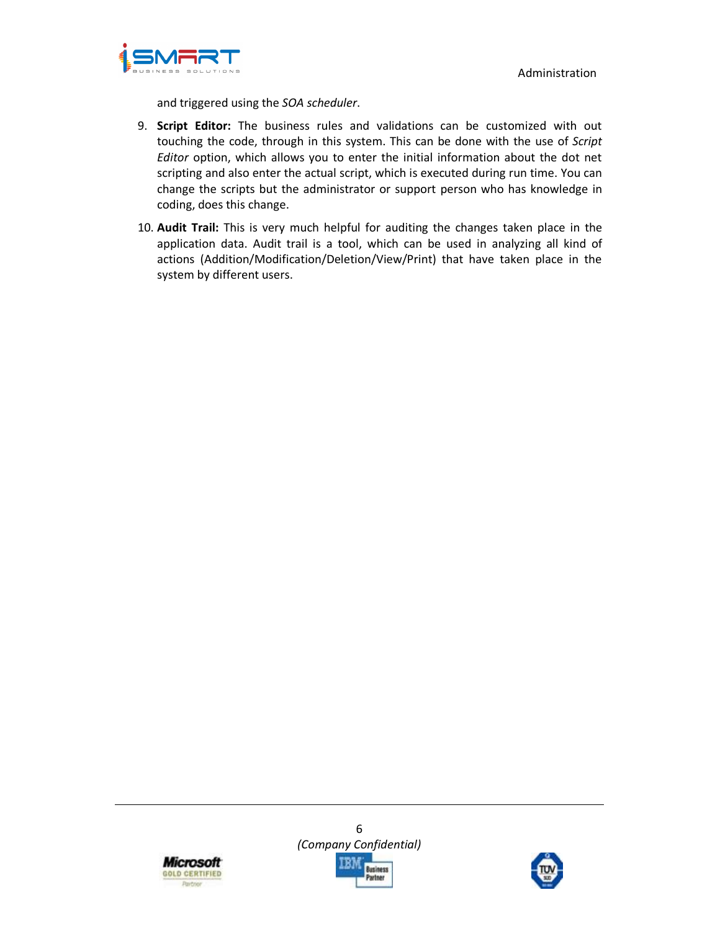Administration



and triggered using the *SOA scheduler*.

- 9. **Script Editor:** The business rules and validations can be customized with out touching the code, through in this system. This can be done with the use of *Script Editor* option, which allows you to enter the initial information about the dot net scripting and also enter the actual script, which is executed during run time. You can change the scripts but the administrator or support person who has knowledge in coding, does this change.
- 10. **Audit Trail:** This is very much helpful for auditing the changes taken place in the application data. Audit trail is a tool, which can be used in analyzing all kind of actions (Addition/Modification/Deletion/View/Print) that have taken place in the system by different users.





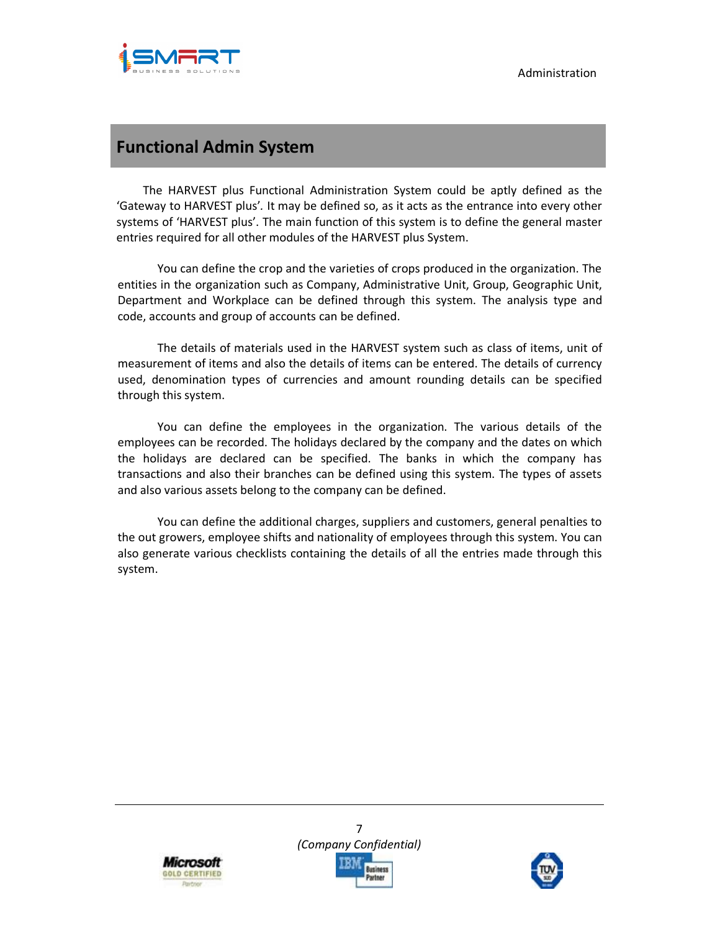

# **Functional Admin System**

The HARVEST plus Functional Administration System could be aptly defined as the 'Gateway to HARVEST plus'*.* It may be defined so, as it acts as the entrance into every other systems of 'HARVEST plus'. The main function of this system is to define the general master entries required for all other modules of the HARVEST plus System.

You can define the crop and the varieties of crops produced in the organization. The entities in the organization such as Company, Administrative Unit, Group, Geographic Unit, Department and Workplace can be defined through this system. The analysis type and code, accounts and group of accounts can be defined.

The details of materials used in the HARVEST system such as class of items, unit of measurement of items and also the details of items can be entered. The details of currency used, denomination types of currencies and amount rounding details can be specified through this system.

You can define the employees in the organization. The various details of the employees can be recorded. The holidays declared by the company and the dates on which the holidays are declared can be specified. The banks in which the company has transactions and also their branches can be defined using this system. The types of assets and also various assets belong to the company can be defined.

You can define the additional charges, suppliers and customers, general penalties to the out growers, employee shifts and nationality of employees through this system. You can also generate various checklists containing the details of all the entries made through this system.





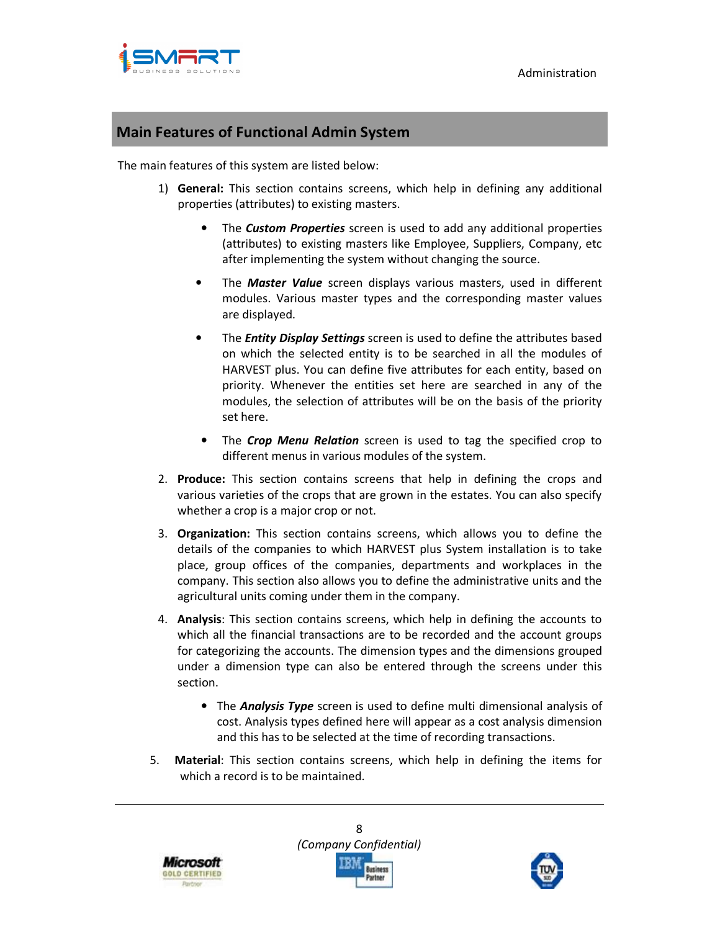

### **Main Features of Functional Admin System**

The main features of this system are listed below:

- 1) **General:** This section contains screens, which help in defining any additional properties (attributes) to existing masters.
	- The *Custom Properties* screen is used to add any additional properties (attributes) to existing masters like Employee, Suppliers, Company, etc after implementing the system without changing the source.
	- The *Master Value* screen displays various masters, used in different modules. Various master types and the corresponding master values are displayed.
	- The *Entity Display Settings* screen is used to define the attributes based on which the selected entity is to be searched in all the modules of HARVEST plus. You can define five attributes for each entity, based on priority. Whenever the entities set here are searched in any of the modules, the selection of attributes will be on the basis of the priority set here.
	- The *Crop Menu Relation* screen is used to tag the specified crop to different menus in various modules of the system.
- 2. **Produce:** This section contains screens that help in defining the crops and various varieties of the crops that are grown in the estates. You can also specify whether a crop is a major crop or not.
- 3. **Organization:** This section contains screens, which allows you to define the details of the companies to which HARVEST plus System installation is to take place, group offices of the companies, departments and workplaces in the company. This section also allows you to define the administrative units and the agricultural units coming under them in the company.
- 4. **Analysis**: This section contains screens, which help in defining the accounts to which all the financial transactions are to be recorded and the account groups for categorizing the accounts. The dimension types and the dimensions grouped under a dimension type can also be entered through the screens under this section.
	- The *Analysis Type* screen is used to define multi dimensional analysis of cost. Analysis types defined here will appear as a cost analysis dimension and this has to be selected at the time of recording transactions.
- 5. **Material**: This section contains screens, which help in defining the items for which a record is to be maintained.





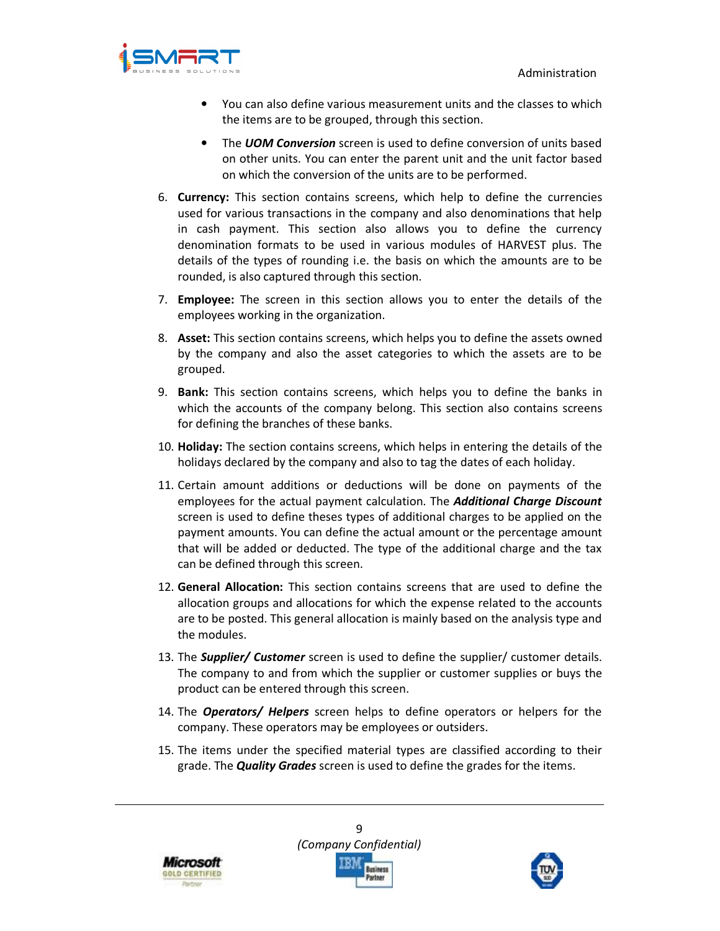

- You can also define various measurement units and the classes to which the items are to be grouped, through this section.
- The *UOM Conversion* screen is used to define conversion of units based on other units. You can enter the parent unit and the unit factor based on which the conversion of the units are to be performed.
- 6. **Currency:** This section contains screens, which help to define the currencies used for various transactions in the company and also denominations that help in cash payment. This section also allows you to define the currency denomination formats to be used in various modules of HARVEST plus. The details of the types of rounding i.e. the basis on which the amounts are to be rounded, is also captured through this section.
- 7. **Employee:** The screen in this section allows you to enter the details of the employees working in the organization.
- 8. **Asset:** This section contains screens, which helps you to define the assets owned by the company and also the asset categories to which the assets are to be grouped.
- 9. **Bank:** This section contains screens, which helps you to define the banks in which the accounts of the company belong. This section also contains screens for defining the branches of these banks.
- 10. **Holiday:** The section contains screens, which helps in entering the details of the holidays declared by the company and also to tag the dates of each holiday.
- 11. Certain amount additions or deductions will be done on payments of the employees for the actual payment calculation. The *Additional Charge Discount* screen is used to define theses types of additional charges to be applied on the payment amounts. You can define the actual amount or the percentage amount that will be added or deducted. The type of the additional charge and the tax can be defined through this screen.
- 12. **General Allocation:** This section contains screens that are used to define the allocation groups and allocations for which the expense related to the accounts are to be posted. This general allocation is mainly based on the analysis type and the modules.
- 13. The *Supplier/ Customer* screen is used to define the supplier/ customer details. The company to and from which the supplier or customer supplies or buys the product can be entered through this screen.
- 14. The *Operators/ Helpers* screen helps to define operators or helpers for the company. These operators may be employees or outsiders.
- 15. The items under the specified material types are classified according to their grade. The *Quality Grades* screen is used to define the grades for the items.